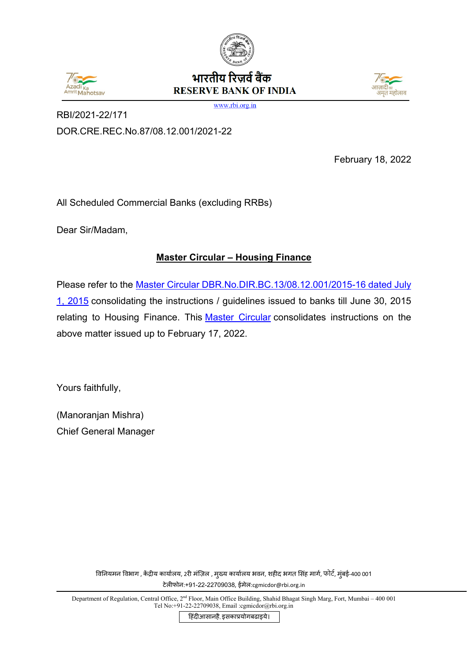



RBI/2021-22/171

भारतीय रिजर्व बैंक **RESERVE BANK OF INDIA** 



www.rbi.org.in

DOR.CRE.REC.No.87/08.12.001/2021-22

February 18, 2022

All Scheduled Commercial Banks (excluding RRBs)

Dear Sir/Madam,

# **Master Circular – Housing Finance**

Please refer to the Master Circular DBR.No.DIR.BC.13/08.12.001/2015-16 dated July [1, 2015](https://www.rbi.org.in/Scripts/BS_ViewMasCirculardetails.aspx?id=9851) consolidating the instructions / guidelines issued to banks till June 30, 2015 relating to Housing Finance. This [Master Circular](#page-1-0) consolidates instructions on the above matter issued up to February 17, 2022.

Yours faithfully,

(Manoranjan Mishra) Chief General Manager

> विनियमन विभाग , केद्रीय कार्यालय, 2री मज़िल , मुख्य कार्यालय भवन, शहीद भगत सिंह मार्ग, फीटें, मुंबई-400 001 टेल�फोन:+91-22-22709038, ईमेल:cgmicdor@rbi.org.in

Department of Regulation, Central Office, 2<sup>nd</sup> Floor, Main Office Building, Shahid Bhagat Singh Marg, Fort, Mumbai – 400 001 Tel No:+91-22-22709038, Email :cgmicdor@rbi.org.in

हिंदीआसानहै, इसकाप्रयोगबढाइये।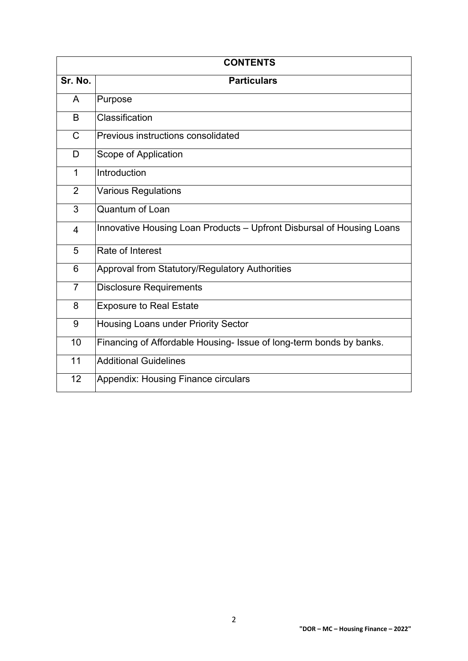<span id="page-1-0"></span>

| <b>CONTENTS</b> |                                                                       |  |
|-----------------|-----------------------------------------------------------------------|--|
| Sr. No.         | <b>Particulars</b>                                                    |  |
| A               | Purpose                                                               |  |
| B               | Classification                                                        |  |
| $\mathsf{C}$    | Previous instructions consolidated                                    |  |
| D               | Scope of Application                                                  |  |
| $\mathbf{1}$    | Introduction                                                          |  |
| $\overline{2}$  | <b>Various Regulations</b>                                            |  |
| 3               | Quantum of Loan                                                       |  |
| 4               | Innovative Housing Loan Products - Upfront Disbursal of Housing Loans |  |
| 5               | Rate of Interest                                                      |  |
| 6               | Approval from Statutory/Regulatory Authorities                        |  |
| $\overline{7}$  | <b>Disclosure Requirements</b>                                        |  |
| 8               | <b>Exposure to Real Estate</b>                                        |  |
| 9               | Housing Loans under Priority Sector                                   |  |
| 10              | Financing of Affordable Housing- Issue of long-term bonds by banks.   |  |
| 11              | <b>Additional Guidelines</b>                                          |  |
| 12              | <b>Appendix: Housing Finance circulars</b>                            |  |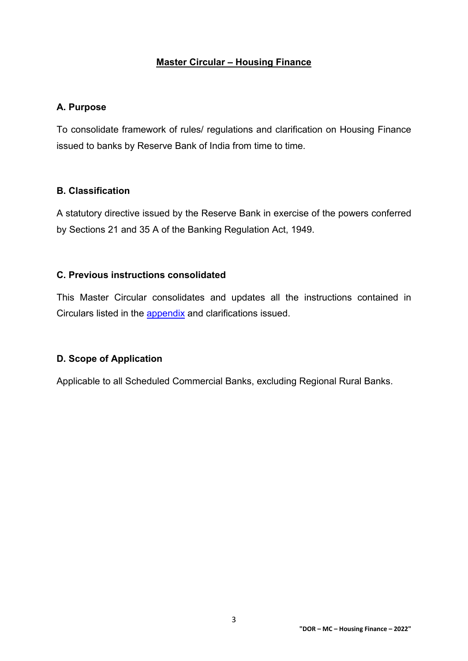#### **Master Circular – Housing Finance**

#### **A. Purpose**

To consolidate framework of rules/ regulations and clarification on Housing Finance issued to banks by Reserve Bank of India from time to time.

#### **B. Classification**

A statutory directive issued by the Reserve Bank in exercise of the powers conferred by Sections 21 and 35 A of the Banking Regulation Act, 1949.

### **C. Previous instructions consolidated**

This Master Circular consolidates and updates all the instructions contained in Circulars listed in the [appendix](#page-13-0) and clarifications issued.

#### **D. Scope of Application**

Applicable to all Scheduled Commercial Banks, excluding Regional Rural Banks.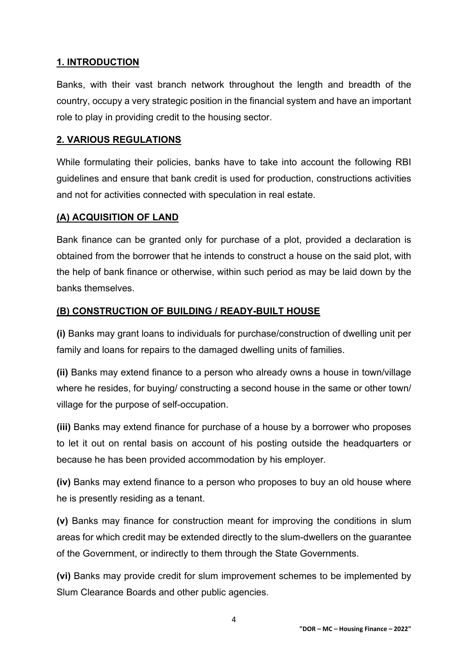#### **1. INTRODUCTION**

Banks, with their vast branch network throughout the length and breadth of the country, occupy a very strategic position in the financial system and have an important role to play in providing credit to the housing sector.

#### **2. VARIOUS REGULATIONS**

While formulating their policies, banks have to take into account the following RBI guidelines and ensure that bank credit is used for production, constructions activities and not for activities connected with speculation in real estate.

#### **(A) ACQUISITION OF LAND**

Bank finance can be granted only for purchase of a plot, provided a declaration is obtained from the borrower that he intends to construct a house on the said plot, with the help of bank finance or otherwise, within such period as may be laid down by the banks themselves.

#### **(B) CONSTRUCTION OF BUILDING / READY-BUILT HOUSE**

**(i)** Banks may grant loans to individuals for purchase/construction of dwelling unit per family and loans for repairs to the damaged dwelling units of families.

**(ii)** Banks may extend finance to a person who already owns a house in town/village where he resides, for buying/ constructing a second house in the same or other town/ village for the purpose of self-occupation.

**(iii)** Banks may extend finance for purchase of a house by a borrower who proposes to let it out on rental basis on account of his posting outside the headquarters or because he has been provided accommodation by his employer.

**(iv)** Banks may extend finance to a person who proposes to buy an old house where he is presently residing as a tenant.

**(v)** Banks may finance for construction meant for improving the conditions in slum areas for which credit may be extended directly to the slum-dwellers on the guarantee of the Government, or indirectly to them through the State Governments.

**(vi)** Banks may provide credit for slum improvement schemes to be implemented by Slum Clearance Boards and other public agencies.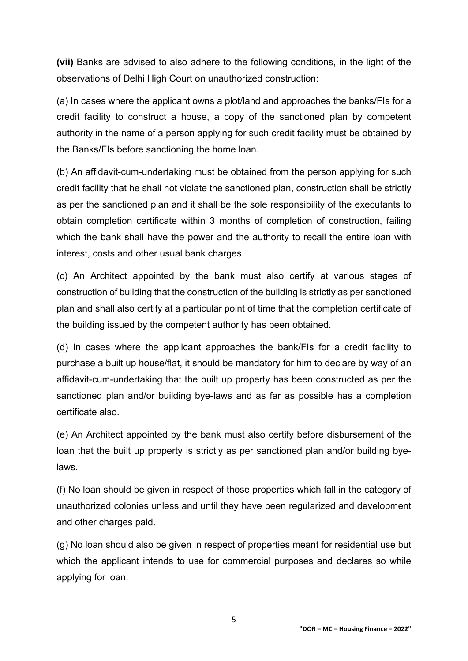**(vii)** Banks are advised to also adhere to the following conditions, in the light of the observations of Delhi High Court on unauthorized construction:

(a) In cases where the applicant owns a plot/land and approaches the banks/FIs for a credit facility to construct a house, a copy of the sanctioned plan by competent authority in the name of a person applying for such credit facility must be obtained by the Banks/FIs before sanctioning the home loan.

(b) An affidavit-cum-undertaking must be obtained from the person applying for such credit facility that he shall not violate the sanctioned plan, construction shall be strictly as per the sanctioned plan and it shall be the sole responsibility of the executants to obtain completion certificate within 3 months of completion of construction, failing which the bank shall have the power and the authority to recall the entire loan with interest, costs and other usual bank charges.

(c) An Architect appointed by the bank must also certify at various stages of construction of building that the construction of the building is strictly as per sanctioned plan and shall also certify at a particular point of time that the completion certificate of the building issued by the competent authority has been obtained.

(d) In cases where the applicant approaches the bank/FIs for a credit facility to purchase a built up house/flat, it should be mandatory for him to declare by way of an affidavit-cum-undertaking that the built up property has been constructed as per the sanctioned plan and/or building bye-laws and as far as possible has a completion certificate also.

(e) An Architect appointed by the bank must also certify before disbursement of the loan that the built up property is strictly as per sanctioned plan and/or building byelaws.

(f) No loan should be given in respect of those properties which fall in the category of unauthorized colonies unless and until they have been regularized and development and other charges paid.

(g) No loan should also be given in respect of properties meant for residential use but which the applicant intends to use for commercial purposes and declares so while applying for loan.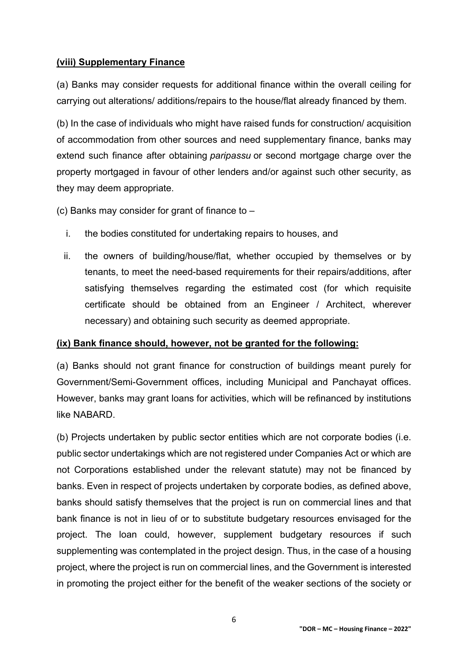#### **(viii) Supplementary Finance**

(a) Banks may consider requests for additional finance within the overall ceiling for carrying out alterations/ additions/repairs to the house/flat already financed by them.

(b) In the case of individuals who might have raised funds for construction/ acquisition of accommodation from other sources and need supplementary finance, banks may extend such finance after obtaining *paripassu* or second mortgage charge over the property mortgaged in favour of other lenders and/or against such other security, as they may deem appropriate.

(c) Banks may consider for grant of finance to  $-$ 

- i. the bodies constituted for undertaking repairs to houses, and
- ii. the owners of building/house/flat, whether occupied by themselves or by tenants, to meet the need-based requirements for their repairs/additions, after satisfying themselves regarding the estimated cost (for which requisite certificate should be obtained from an Engineer / Architect, wherever necessary) and obtaining such security as deemed appropriate.

#### **(ix) Bank finance should, however, not be granted for the following:**

(a) Banks should not grant finance for construction of buildings meant purely for Government/Semi-Government offices, including Municipal and Panchayat offices. However, banks may grant loans for activities, which will be refinanced by institutions like NABARD.

(b) Projects undertaken by public sector entities which are not corporate bodies (i.e. public sector undertakings which are not registered under Companies Act or which are not Corporations established under the relevant statute) may not be financed by banks. Even in respect of projects undertaken by corporate bodies, as defined above, banks should satisfy themselves that the project is run on commercial lines and that bank finance is not in lieu of or to substitute budgetary resources envisaged for the project. The loan could, however, supplement budgetary resources if such supplementing was contemplated in the project design. Thus, in the case of a housing project, where the project is run on commercial lines, and the Government is interested in promoting the project either for the benefit of the weaker sections of the society or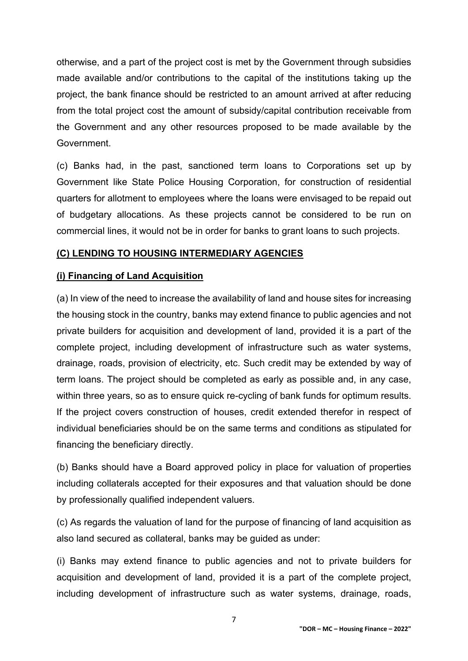otherwise, and a part of the project cost is met by the Government through subsidies made available and/or contributions to the capital of the institutions taking up the project, the bank finance should be restricted to an amount arrived at after reducing from the total project cost the amount of subsidy/capital contribution receivable from the Government and any other resources proposed to be made available by the Government.

(c) Banks had, in the past, sanctioned term loans to Corporations set up by Government like State Police Housing Corporation, for construction of residential quarters for allotment to employees where the loans were envisaged to be repaid out of budgetary allocations. As these projects cannot be considered to be run on commercial lines, it would not be in order for banks to grant loans to such projects.

#### **(C) LENDING TO HOUSING INTERMEDIARY AGENCIES**

#### **(i) Financing of Land Acquisition**

(a) In view of the need to increase the availability of land and house sites for increasing the housing stock in the country, banks may extend finance to public agencies and not private builders for acquisition and development of land, provided it is a part of the complete project, including development of infrastructure such as water systems, drainage, roads, provision of electricity, etc. Such credit may be extended by way of term loans. The project should be completed as early as possible and, in any case, within three years, so as to ensure quick re-cycling of bank funds for optimum results. If the project covers construction of houses, credit extended therefor in respect of individual beneficiaries should be on the same terms and conditions as stipulated for financing the beneficiary directly.

(b) Banks should have a Board approved policy in place for valuation of properties including collaterals accepted for their exposures and that valuation should be done by professionally qualified independent valuers.

(c) As regards the valuation of land for the purpose of financing of land acquisition as also land secured as collateral, banks may be guided as under:

(i) Banks may extend finance to public agencies and not to private builders for acquisition and development of land, provided it is a part of the complete project, including development of infrastructure such as water systems, drainage, roads,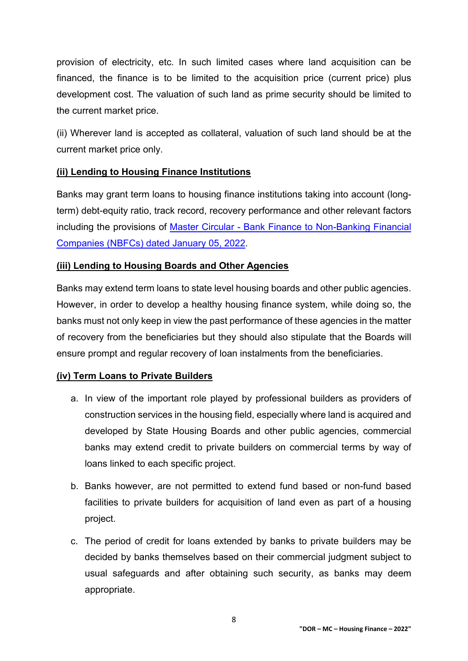provision of electricity, etc. In such limited cases where land acquisition can be financed, the finance is to be limited to the acquisition price (current price) plus development cost. The valuation of such land as prime security should be limited to the current market price.

(ii) Wherever land is accepted as collateral, valuation of such land should be at the current market price only.

#### **(ii) Lending to Housing Finance Institutions**

Banks may grant term loans to housing finance institutions taking into account (longterm) debt-equity ratio, track record, recovery performance and other relevant factors including the provisions of Master Circular - [Bank Finance to Non-Banking Financial](https://www.rbi.org.in/Scripts/BS_ViewMasCirculardetails.aspx?id=12218)  [Companies \(NBFCs\) dated January 05, 2022.](https://www.rbi.org.in/Scripts/BS_ViewMasCirculardetails.aspx?id=12218)

### **(iii) Lending to Housing Boards and Other Agencies**

Banks may extend term loans to state level housing boards and other public agencies. However, in order to develop a healthy housing finance system, while doing so, the banks must not only keep in view the past performance of these agencies in the matter of recovery from the beneficiaries but they should also stipulate that the Boards will ensure prompt and regular recovery of loan instalments from the beneficiaries.

## **(iv) Term Loans to Private Builders**

- a. In view of the important role played by professional builders as providers of construction services in the housing field, especially where land is acquired and developed by State Housing Boards and other public agencies, commercial banks may extend credit to private builders on commercial terms by way of loans linked to each specific project.
- b. Banks however, are not permitted to extend fund based or non-fund based facilities to private builders for acquisition of land even as part of a housing project.
- c. The period of credit for loans extended by banks to private builders may be decided by banks themselves based on their commercial judgment subject to usual safeguards and after obtaining such security, as banks may deem appropriate.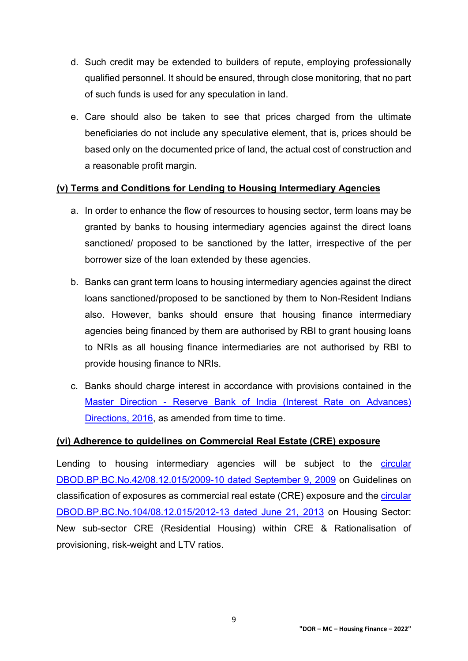- d. Such credit may be extended to builders of repute, employing professionally qualified personnel. It should be ensured, through close monitoring, that no part of such funds is used for any speculation in land.
- e. Care should also be taken to see that prices charged from the ultimate beneficiaries do not include any speculative element, that is, prices should be based only on the documented price of land, the actual cost of construction and a reasonable profit margin.

#### **(v) Terms and Conditions for Lending to Housing Intermediary Agencies**

- a. In order to enhance the flow of resources to housing sector, term loans may be granted by banks to housing intermediary agencies against the direct loans sanctioned/ proposed to be sanctioned by the latter, irrespective of the per borrower size of the loan extended by these agencies.
- b. Banks can grant term loans to housing intermediary agencies against the direct loans sanctioned/proposed to be sanctioned by them to Non-Resident Indians also. However, banks should ensure that housing finance intermediary agencies being financed by them are authorised by RBI to grant housing loans to NRIs as all housing finance intermediaries are not authorised by RBI to provide housing finance to NRIs.
- c. Banks should charge interest in accordance with provisions contained in the Master Direction - [Reserve Bank of India \(Interest Rate on Advances\)](https://www.rbi.org.in/Scripts/BS_ViewMasDirections.aspx?id=10295)  [Directions, 2016,](https://www.rbi.org.in/Scripts/BS_ViewMasDirections.aspx?id=10295) as amended from time to time.

#### **(vi) Adherence to guidelines on Commercial Real Estate (CRE) exposure**

Lending to housing intermediary agencies will be subject to the [circular](https://www.rbi.org.in/Scripts/NotificationUser.aspx?Id=5261&Mode=0)  [DBOD.BP.BC.No.42/08.12.015/2009-10](https://www.rbi.org.in/Scripts/NotificationUser.aspx?Id=5261&Mode=0) dated September 9, 2009 on Guidelines on classification of exposures as commercial real estate (CRE) exposure and the [circular](https://www.rbi.org.in/Scripts/NotificationUser.aspx?Id=8047&Mode=0)  [DBOD.BP.BC.No.104/08.12.015/2012-13 dated June 21, 2013](https://www.rbi.org.in/Scripts/NotificationUser.aspx?Id=8047&Mode=0) on Housing Sector: New sub-sector CRE (Residential Housing) within CRE & Rationalisation of provisioning, risk-weight and LTV ratios.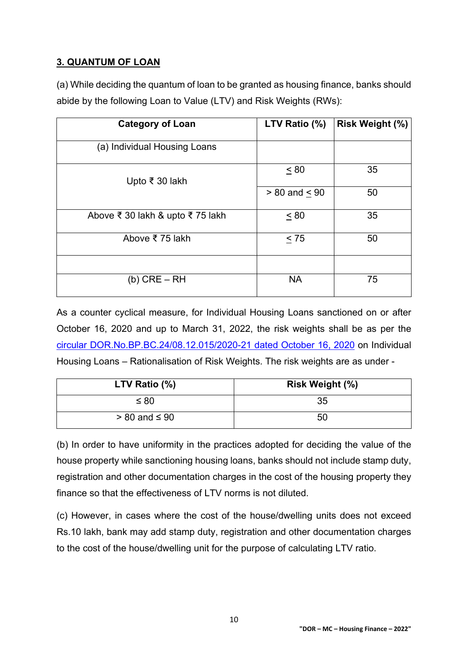# **3. QUANTUM OF LOAN**

(a) While deciding the quantum of loan to be granted as housing finance, banks should abide by the following Loan to Value (LTV) and Risk Weights (RWs):

| <b>Category of Loan</b>          | LTV Ratio (%)     | <b>Risk Weight (%)</b> |
|----------------------------------|-------------------|------------------------|
| (a) Individual Housing Loans     |                   |                        |
| Upto ₹ 30 lakh                   | ~< 80             | 35                     |
|                                  | $> 80$ and $< 90$ | 50                     |
| Above ₹ 30 lakh & upto ₹ 75 lakh | $\leq 80$         | 35                     |
| Above ₹ 75 lakh                  | $\leq 75$         | 50                     |
|                                  |                   |                        |
| $(b)$ CRE $-$ RH                 | <b>NA</b>         | 75                     |

As a counter cyclical measure, for Individual Housing Loans sanctioned on or after October 16, 2020 and up to March 31, 2022, the risk weights shall be as per the [circular DOR.No.BP.BC.24/08.12.015/2020-21 dated October 16, 2020](https://www.rbi.org.in/Scripts/NotificationUser.aspx?Id=11984&Mode=0) on Individual Housing Loans – Rationalisation of Risk Weights. The risk weights are as under -

| LTV Ratio (%)        | <b>Risk Weight (%)</b> |
|----------------------|------------------------|
| $\leq 80$            | 35                     |
| $> 80$ and $\leq 90$ | 50                     |

(b) In order to have uniformity in the practices adopted for deciding the value of the house property while sanctioning housing loans, banks should not include stamp duty, registration and other documentation charges in the cost of the housing property they finance so that the effectiveness of LTV norms is not diluted.

(c) However, in cases where the cost of the house/dwelling units does not exceed Rs.10 lakh, bank may add stamp duty, registration and other documentation charges to the cost of the house/dwelling unit for the purpose of calculating LTV ratio.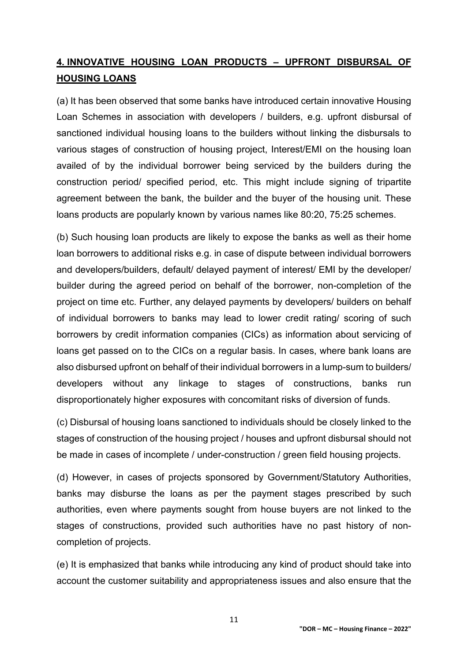# **4. INNOVATIVE HOUSING LOAN PRODUCTS – UPFRONT DISBURSAL OF HOUSING LOANS**

(a) It has been observed that some banks have introduced certain innovative Housing Loan Schemes in association with developers / builders, e.g. upfront disbursal of sanctioned individual housing loans to the builders without linking the disbursals to various stages of construction of housing project, Interest/EMI on the housing loan availed of by the individual borrower being serviced by the builders during the construction period/ specified period, etc. This might include signing of tripartite agreement between the bank, the builder and the buyer of the housing unit. These loans products are popularly known by various names like 80:20, 75:25 schemes.

(b) Such housing loan products are likely to expose the banks as well as their home loan borrowers to additional risks e.g. in case of dispute between individual borrowers and developers/builders, default/ delayed payment of interest/ EMI by the developer/ builder during the agreed period on behalf of the borrower, non-completion of the project on time etc. Further, any delayed payments by developers/ builders on behalf of individual borrowers to banks may lead to lower credit rating/ scoring of such borrowers by credit information companies (CICs) as information about servicing of loans get passed on to the CICs on a regular basis. In cases, where bank loans are also disbursed upfront on behalf of their individual borrowers in a lump-sum to builders/ developers without any linkage to stages of constructions, banks run disproportionately higher exposures with concomitant risks of diversion of funds.

(c) Disbursal of housing loans sanctioned to individuals should be closely linked to the stages of construction of the housing project / houses and upfront disbursal should not be made in cases of incomplete / under-construction / green field housing projects.

(d) However, in cases of projects sponsored by Government/Statutory Authorities, banks may disburse the loans as per the payment stages prescribed by such authorities, even where payments sought from house buyers are not linked to the stages of constructions, provided such authorities have no past history of noncompletion of projects.

(e) It is emphasized that banks while introducing any kind of product should take into account the customer suitability and appropriateness issues and also ensure that the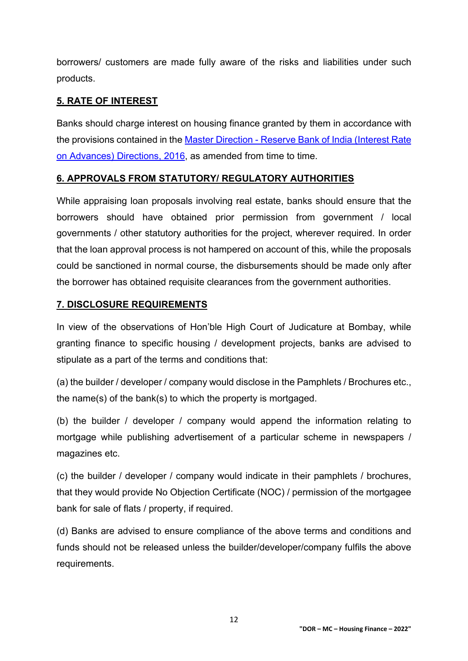borrowers/ customers are made fully aware of the risks and liabilities under such products.

## **5. RATE OF INTEREST**

Banks should charge interest on housing finance granted by them in accordance with the provisions contained in the Master Direction - [Reserve Bank of India \(Interest Rate](https://www.rbi.org.in/Scripts/BS_ViewMasDirections.aspx?id=10295)  [on Advances\) Directions, 2016,](https://www.rbi.org.in/Scripts/BS_ViewMasDirections.aspx?id=10295) as amended from time to time.

#### **6. APPROVALS FROM STATUTORY/ REGULATORY AUTHORITIES**

While appraising loan proposals involving real estate, banks should ensure that the borrowers should have obtained prior permission from government / local governments / other statutory authorities for the project, wherever required. In order that the loan approval process is not hampered on account of this, while the proposals could be sanctioned in normal course, the disbursements should be made only after the borrower has obtained requisite clearances from the government authorities.

#### **7. DISCLOSURE REQUIREMENTS**

In view of the observations of Hon'ble High Court of Judicature at Bombay, while granting finance to specific housing / development projects, banks are advised to stipulate as a part of the terms and conditions that:

(a) the builder / developer / company would disclose in the Pamphlets / Brochures etc., the name(s) of the bank(s) to which the property is mortgaged.

(b) the builder / developer / company would append the information relating to mortgage while publishing advertisement of a particular scheme in newspapers / magazines etc.

(c) the builder / developer / company would indicate in their pamphlets / brochures, that they would provide No Objection Certificate (NOC) / permission of the mortgagee bank for sale of flats / property, if required.

(d) Banks are advised to ensure compliance of the above terms and conditions and funds should not be released unless the builder/developer/company fulfils the above requirements.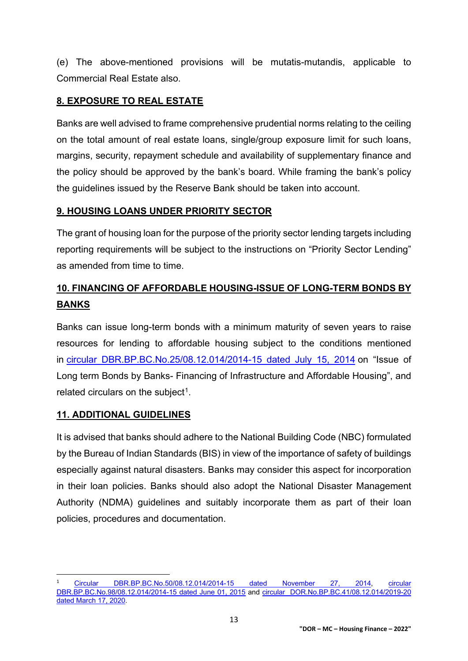(e) The above-mentioned provisions will be mutatis-mutandis, applicable to Commercial Real Estate also.

## **8. EXPOSURE TO REAL ESTATE**

Banks are well advised to frame comprehensive prudential norms relating to the ceiling on the total amount of real estate loans, single/group exposure limit for such loans, margins, security, repayment schedule and availability of supplementary finance and the policy should be approved by the bank's board. While framing the bank's policy the guidelines issued by the Reserve Bank should be taken into account.

### **9. HOUSING LOANS UNDER PRIORITY SECTOR**

The grant of housing loan for the purpose of the priority sector lending targets including reporting requirements will be subject to the instructions on "Priority Sector Lending" as amended from time to time.

# **10. FINANCING OF AFFORDABLE HOUSING-ISSUE OF LONG-TERM BONDS BY BANKS**

Banks can issue long-term bonds with a minimum maturity of seven years to raise resources for lending to affordable housing subject to the conditions mentioned in [circular DBR.BP.BC.No.25/08.12.014/2014-15 dated July 15, 2014](https://www.rbi.org.in/Scripts/NotificationUser.aspx?Id=9103&Mode=0) on "Issue of Long term Bonds by Banks- Financing of Infrastructure and Affordable Housing", and related circulars on the subject<sup>1</sup>.

#### **11. ADDITIONAL GUIDELINES**

It is advised that banks should adhere to the National Building Code (NBC) formulated by the Bureau of Indian Standards (BIS) in view of the importance of safety of buildings especially against natural disasters. Banks may consider this aspect for incorporation in their loan policies. Banks should also adopt the National Disaster Management Authority (NDMA) guidelines and suitably incorporate them as part of their loan policies, procedures and documentation.

<span id="page-12-0"></span> <sup>1</sup> [Circular DBR.BP.BC.No.50/08.12.014/2014-15 dated November 27, 2014,](https://www.rbi.org.in/Scripts/NotificationUser.aspx?Id=9361&Mode=0) [circular](https://www.rbi.org.in/Scripts/NotificationUser.aspx?Id=9750&Mode=0) [DBR.BP.BC.No.98/08.12.014/2014-15 dated June 01, 2015](https://www.rbi.org.in/Scripts/NotificationUser.aspx?Id=9750&Mode=0) and [circular DOR.No.BP.BC.41/08.12.014/2019-20](https://www.rbi.org.in/Scripts/NotificationUser.aspx?Id=11824&Mode=0)  [dated March 17, 2020.](https://www.rbi.org.in/Scripts/NotificationUser.aspx?Id=11824&Mode=0)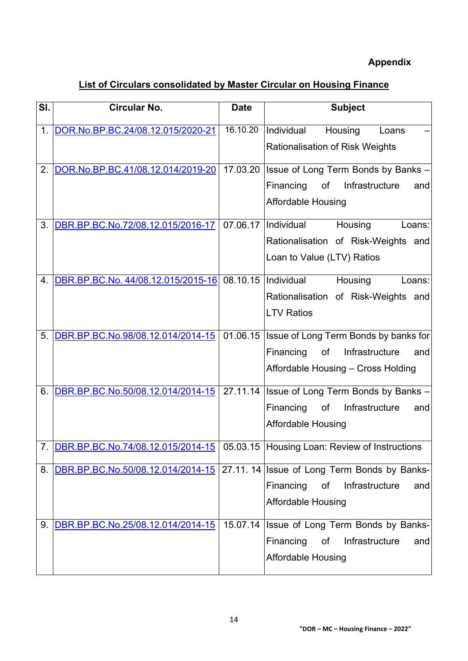# **Appendix**

<span id="page-13-0"></span>

| SI. | <b>Circular No.</b>                | <b>Date</b> | <b>Subject</b>                                                                |
|-----|------------------------------------|-------------|-------------------------------------------------------------------------------|
| 1.  | DOR.No.BP.BC.24/08.12.015/2020-21  | 16.10.20    | Individual<br>Housing<br>Loans                                                |
|     |                                    |             | <b>Rationalisation of Risk Weights</b>                                        |
| 2.  | DOR.No.BP.BC.41/08.12.014/2019-20  | 17.03.20    | Issue of Long Term Bonds by Banks -                                           |
|     |                                    |             | Financing<br>of<br>Infrastructure<br>and                                      |
|     |                                    |             | <b>Affordable Housing</b>                                                     |
| 3.  | DBR.BP.BC.No.72/08.12.015/2016-17  | 07.06.17    | Individual<br>Housing<br>Loans:                                               |
|     |                                    |             | Rationalisation of Risk-Weights and                                           |
|     |                                    |             | Loan to Value (LTV) Ratios                                                    |
| 4.  | DBR.BP.BC.No. 44/08.12.015/2015-16 | 08.10.15    | Individual<br>Housing<br>Loans:                                               |
|     |                                    |             | Rationalisation of Risk-Weights and                                           |
|     |                                    |             | <b>LTV Ratios</b>                                                             |
| 5.  | DBR.BP.BC.No.98/08.12.014/2014-15  | 01.06.15    | Issue of Long Term Bonds by banks for                                         |
|     |                                    |             | Financing<br>of<br>Infrastructure<br>and                                      |
|     |                                    |             | Affordable Housing - Cross Holding                                            |
| 6.  | DBR.BP.BC.No.50/08.12.014/2014-15  | 27.11.14    | Issue of Long Term Bonds by Banks -                                           |
|     |                                    |             | Financing<br>Infrastructure<br>of<br>and                                      |
|     |                                    |             | <b>Affordable Housing</b>                                                     |
|     | DBR.BP.BC.No.74/08.12.015/2014-15  |             | 05.03.15 Housing Loan: Review of Instructions                                 |
| 8.  |                                    |             | DBR.BP.BC.No.50/08.12.014/2014-15 27.11.14 Issue of Long Term Bonds by Banks- |
|     |                                    |             | Financing<br>Infrastructure<br>of<br>and                                      |
|     |                                    |             | <b>Affordable Housing</b>                                                     |
| 9.  | DBR.BP.BC.No.25/08.12.014/2014-15  | 15.07.14    | Issue of Long Term Bonds by Banks-                                            |
|     |                                    |             | Financing<br>Infrastructure<br>οf<br>and                                      |
|     |                                    |             | <b>Affordable Housing</b>                                                     |
|     |                                    |             |                                                                               |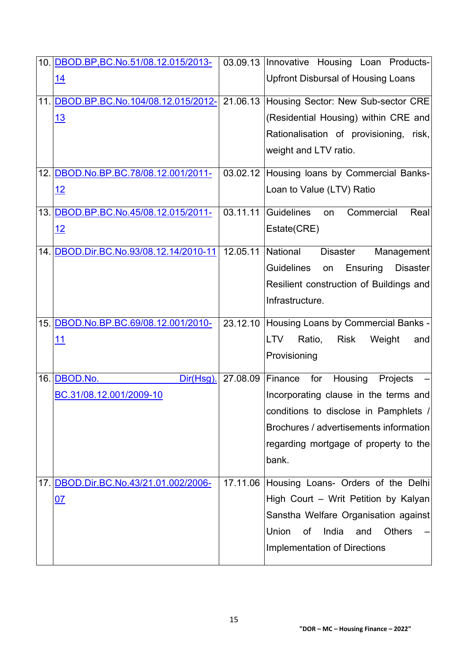| 10. DBOD.BP, BC.No.51/08.12.015/2013-  |                  | 03.09.13 Innovative Housing Loan Products-             |
|----------------------------------------|------------------|--------------------------------------------------------|
| <u>14</u>                              |                  | <b>Upfront Disbursal of Housing Loans</b>              |
| 11. DBOD.BP.BC.No.104/08.12.015/2012-  |                  | 21.06.13 Housing Sector: New Sub-sector CRE            |
| 13                                     |                  | (Residential Housing) within CRE and                   |
|                                        |                  | Rationalisation of provisioning, risk,                 |
|                                        |                  | weight and LTV ratio.                                  |
| 12. DBOD.No.BP.BC.78/08.12.001/2011-   |                  | 03.02.12 Housing loans by Commercial Banks-            |
| <u> 12</u>                             |                  | Loan to Value (LTV) Ratio                              |
| 13. DBOD.BP.BC.No.45/08.12.015/2011-   |                  | 03.11.11 Guidelines<br>Commercial<br>Real<br>on        |
| 12                                     |                  | Estate(CRE)                                            |
| 14. DBOD.Dir.BC.No.93/08.12.14/2010-11 | 12.05.11         | National<br><b>Disaster</b><br>Management              |
|                                        |                  | <b>Guidelines</b><br>Ensuring<br><b>Disaster</b><br>on |
|                                        |                  | Resilient construction of Buildings and                |
|                                        |                  | Infrastructure.                                        |
| 15. DBOD.No.BP.BC.69/08.12.001/2010-   |                  | 23.12.10 Housing Loans by Commercial Banks -           |
| 11                                     |                  | Weight<br><b>LTV</b><br>Ratio,<br><b>Risk</b><br>and   |
|                                        |                  | Provisioning                                           |
| 16. DBOD.No.<br>Dir(Hsg).              | 27.08.09 Finance | for<br>Housing<br>Projects                             |
| BC.31/08.12.001/2009-10                |                  | Incorporating clause in the terms and                  |
|                                        |                  | conditions to disclose in Pamphlets /                  |
|                                        |                  | Brochures / advertisements information                 |
|                                        |                  |                                                        |
|                                        |                  | regarding mortgage of property to the                  |
|                                        |                  | bank.                                                  |
| 17. DBOD.Dir.BC.No.43/21.01.002/2006-  |                  | 17.11.06 Housing Loans- Orders of the Delhi            |
| <u>07</u>                              |                  | High Court - Writ Petition by Kalyan                   |
|                                        |                  | Sanstha Welfare Organisation against                   |
|                                        |                  | Union<br>India<br><b>Others</b><br>of<br>and           |
|                                        |                  | Implementation of Directions                           |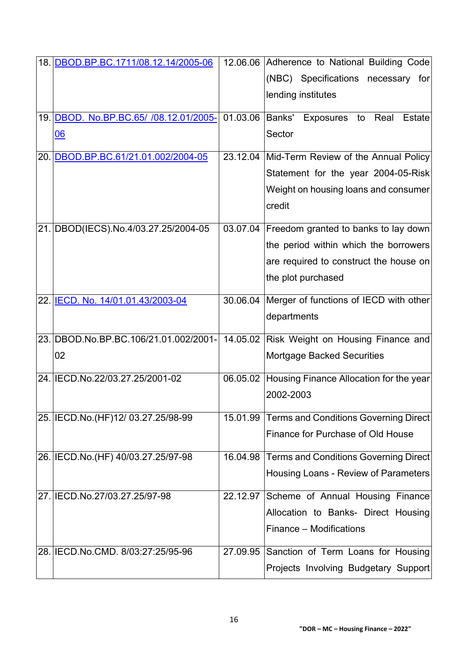| 18. DBOD.BP.BC.1711/08.12.14/2005-06   | 12.06.06 Adherence to National Building Code             |
|----------------------------------------|----------------------------------------------------------|
|                                        | (NBC) Specifications necessary for                       |
|                                        | lending institutes                                       |
| 19. DBOD. No.BP.BC.65/ /08.12.01/2005- | 01.03.06 Banks' Exposures<br>Real<br><b>Estate</b><br>to |
| <u>06</u>                              | Sector                                                   |
| 20. DBOD.BP.BC.61/21.01.002/2004-05    | 23.12.04 Mid-Term Review of the Annual Policy            |
|                                        | Statement for the year 2004-05-Risk                      |
|                                        | Weight on housing loans and consumer                     |
|                                        | credit                                                   |
| 21. DBOD(IECS).No.4/03.27.25/2004-05   | 03.07.04 Freedom granted to banks to lay down            |
|                                        | the period within which the borrowers                    |
|                                        | are required to construct the house on                   |
|                                        | the plot purchased                                       |
| 22. IECD. No. 14/01.01.43/2003-04      | 30.06.04 Merger of functions of IECD with other          |
|                                        | departments                                              |
| 23. DBOD.No.BP.BC.106/21.01.002/2001-  | 14.05.02 Risk Weight on Housing Finance and              |
| 02                                     | <b>Mortgage Backed Securities</b>                        |
| 24. IECD.No.22/03.27.25/2001-02        | 06.05.02 Housing Finance Allocation for the year         |
|                                        | 2002-2003                                                |
| 25. IECD.No. (HF) 12/ 03.27.25/98-99   | 15.01.99 Terms and Conditions Governing Direct           |
|                                        | Finance for Purchase of Old House                        |
| 26. IECD.No. (HF) 40/03.27.25/97-98    | 16.04.98 Terms and Conditions Governing Direct           |
|                                        | Housing Loans - Review of Parameters                     |
| 27. IECD.No.27/03.27.25/97-98          | 22.12.97 Scheme of Annual Housing Finance                |
|                                        | Allocation to Banks- Direct Housing                      |
|                                        | Finance – Modifications                                  |
| 28. IECD. No. CMD. 8/03:27:25/95-96    | 27.09.95 Sanction of Term Loans for Housing              |
|                                        | Projects Involving Budgetary Support                     |